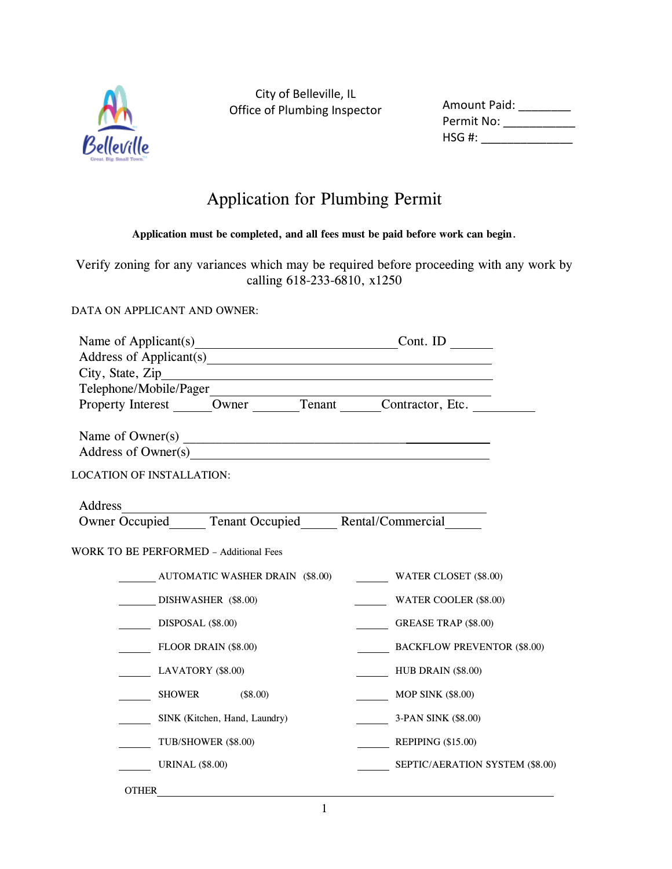

City of Belleville, IL Office of Plumbing Inspector Amount Paid

## Application for Plumbing Permit

**Application must be completed, and all fees must be paid before work can begin**.

Verify zoning for any variances which may be required before proceeding with any work by calling 618-233-6810, x1250

DATA ON APPLICANT AND OWNER:

| Name of Applicant(s) Cont. ID                         |                                    |
|-------------------------------------------------------|------------------------------------|
| Address of Applicant(s)                               |                                    |
|                                                       |                                    |
| Property Interest Owner Tenant Contractor, Etc.       |                                    |
|                                                       |                                    |
|                                                       |                                    |
| Address of Owner(s) example and the state of Owner(s) |                                    |
| <b>LOCATION OF INSTALLATION:</b>                      |                                    |
|                                                       |                                    |
| Address                                               |                                    |
| Owner Occupied Tenant Occupied Rental/Commercial      |                                    |
| <b>WORK TO BE PERFORMED - Additional Fees</b>         |                                    |
| <b>AUTOMATIC WASHER DRAIN (\$8.00)</b>                | <b>WATER CLOSET (\$8.00)</b>       |
| DISHWASHER (\$8.00)                                   | WATER COOLER (\$8.00)              |
| DISPOSAL (\$8.00)                                     | <b>GREASE TRAP (\$8.00)</b>        |
| <b>FLOOR DRAIN (\$8.00)</b>                           | <b>BACKFLOW PREVENTOR (\$8.00)</b> |
| LAVATORY (\$8.00)                                     | <b>HUB DRAIN (\$8.00)</b>          |
| (\$8.00)<br><b>SHOWER</b>                             | <b>MOP SINK (\$8.00)</b>           |
| SINK (Kitchen, Hand, Laundry)                         | 3-PAN SINK (\$8.00)                |
| TUB/SHOWER (\$8.00)                                   | REPIPING $(\$15.00)$               |
| <b>URINAL (\$8.00)</b>                                | SEPTIC/AERATION SYSTEM (\$8.00)    |
| <b>OTHER</b>                                          |                                    |